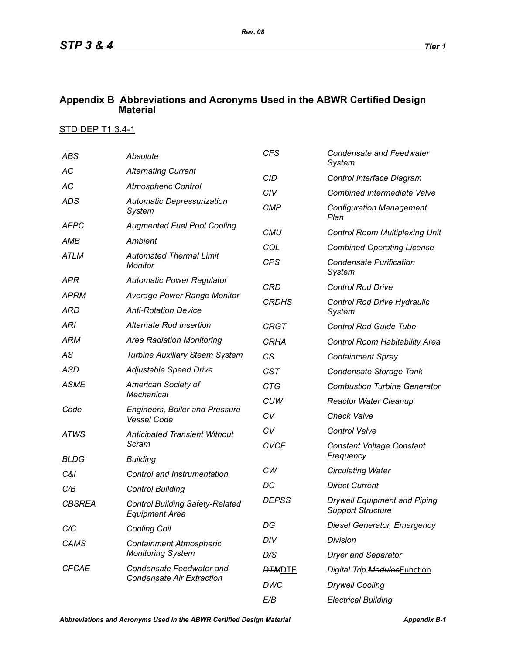## **Appendix B Abbreviations and Acronyms Used in the ABWR Certified Design Material**

## STD DEP T1 3.4-1

| <b>ABS</b>    | Absolute                                                        | <b>CFS</b>    | <b>Condensate and Feedwater</b><br>System                       |
|---------------|-----------------------------------------------------------------|---------------|-----------------------------------------------------------------|
| АC            | <b>Alternating Current</b>                                      | <b>CID</b>    | Control Interface Diagram                                       |
| AC            | <b>Atmospheric Control</b>                                      | CIV           | <b>Combined Intermediate Valve</b>                              |
| <b>ADS</b>    | <b>Automatic Depressurization</b><br>System                     | <b>CMP</b>    | <b>Configuration Management</b><br>Plan                         |
| <b>AFPC</b>   | <b>Augmented Fuel Pool Cooling</b>                              | <b>CMU</b>    | <b>Control Room Multiplexing Unit</b>                           |
| AMB           | Ambient                                                         | COL           | <b>Combined Operating License</b>                               |
| <b>ATLM</b>   | <b>Automated Thermal Limit</b><br>Monitor                       | <b>CPS</b>    | <b>Condensate Purification</b><br>System                        |
| APR           | <b>Automatic Power Regulator</b>                                | <b>CRD</b>    | <b>Control Rod Drive</b>                                        |
| <b>APRM</b>   | <b>Average Power Range Monitor</b>                              | <b>CRDHS</b>  | Control Rod Drive Hydraulic<br>System                           |
| ARD           | <b>Anti-Rotation Device</b>                                     |               |                                                                 |
| <b>ARI</b>    | Alternate Rod Insertion                                         | <b>CRGT</b>   | <b>Control Rod Guide Tube</b>                                   |
| ARM           | <b>Area Radiation Monitoring</b>                                | <b>CRHA</b>   | Control Room Habitability Area                                  |
| AS            | <b>Turbine Auxiliary Steam System</b>                           | CS            | <b>Containment Spray</b>                                        |
| <b>ASD</b>    | Adjustable Speed Drive                                          | <b>CST</b>    | Condensate Storage Tank                                         |
| <b>ASME</b>   | American Society of                                             | <b>CTG</b>    | <b>Combustion Turbine Generator</b>                             |
|               | <b>Mechanical</b>                                               | <b>CUW</b>    | <b>Reactor Water Cleanup</b>                                    |
| Code          | <b>Engineers, Boiler and Pressure</b><br><b>Vessel Code</b>     | CV            | <b>Check Valve</b>                                              |
| <b>ATWS</b>   | <b>Anticipated Transient Without</b>                            | CV            | <b>Control Valve</b>                                            |
|               | Scram                                                           | <b>CVCF</b>   | <b>Constant Voltage Constant</b><br>Frequency                   |
| <b>BLDG</b>   | <b>Building</b>                                                 | CW            |                                                                 |
| C&I           | Control and Instrumentation                                     | DC            | <b>Circulating Water</b><br><b>Direct Current</b>               |
| C/B           | <b>Control Building</b>                                         |               |                                                                 |
| <b>CBSREA</b> | <b>Control Building Safety-Related</b><br><b>Equipment Area</b> | <b>DEPSS</b>  | <b>Drywell Equipment and Piping</b><br><b>Support Structure</b> |
| C/C           | <b>Cooling Coil</b>                                             | DG            | <b>Diesel Generator, Emergency</b>                              |
| <b>CAMS</b>   | <b>Containment Atmospheric</b><br><b>Monitoring System</b>      | DIV           | Division                                                        |
|               |                                                                 | D/S           | <b>Dryer and Separator</b>                                      |
| <b>CFCAE</b>  | Condensate Feedwater and<br><b>Condensate Air Extraction</b>    | <b>DTMDTE</b> | Digital Trip ModulesFunction                                    |
|               |                                                                 | DWC           | <b>Drywell Cooling</b>                                          |
|               |                                                                 | E/B           | <b>Electrical Building</b>                                      |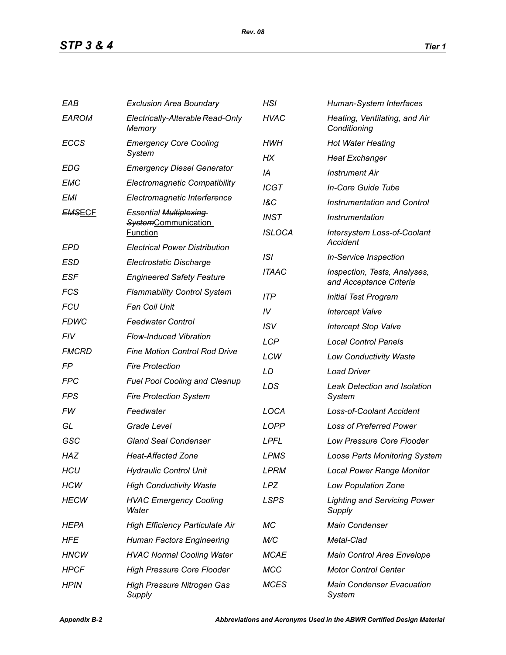| EAB           | <b>Exclusion Area Boundary</b>                | HSI            | Human-System Interfaces                                 |  |
|---------------|-----------------------------------------------|----------------|---------------------------------------------------------|--|
| <b>EAROM</b>  | Electrically-Alterable Read-Only<br>Memory    | <b>HVAC</b>    | Heating, Ventilating, and Air<br>Conditioning           |  |
| <b>ECCS</b>   | <b>Emergency Core Cooling</b>                 | HWH            | <b>Hot Water Heating</b>                                |  |
|               | System                                        | НX             | <b>Heat Exchanger</b>                                   |  |
| <b>EDG</b>    | <b>Emergency Diesel Generator</b>             | IA             | <b>Instrument Air</b>                                   |  |
| EMC           | <b>Electromagnetic Compatibility</b>          | <b>ICGT</b>    | In-Core Guide Tube                                      |  |
| <b>EMI</b>    | Electromagnetic Interference                  | <b>1&amp;C</b> | <b>Instrumentation and Control</b>                      |  |
| <b>EMSECF</b> | <b>Essential Multiplexing</b>                 | <b>INST</b>    | Instrumentation                                         |  |
|               | <b>SystemCommunication</b><br><b>Function</b> | <b>ISLOCA</b>  | Intersystem Loss-of-Coolant                             |  |
| EPD           | <b>Electrical Power Distribution</b>          |                |                                                         |  |
| ESD           | Electrostatic Discharge                       | ISI            | <b>In-Service Inspection</b>                            |  |
| <b>ESF</b>    | <b>Engineered Safety Feature</b>              | <b>ITAAC</b>   | Inspection, Tests, Analyses,<br>and Acceptance Criteria |  |
| <b>FCS</b>    | <b>Flammability Control System</b>            | <b>ITP</b>     | <b>Initial Test Program</b>                             |  |
| <b>FCU</b>    | <b>Fan Coil Unit</b>                          | IV             | <b>Intercept Valve</b>                                  |  |
| <b>FDWC</b>   | <b>Feedwater Control</b>                      | <b>ISV</b>     | <b>Intercept Stop Valve</b>                             |  |
| FIV           | <b>Flow-Induced Vibration</b>                 | <b>LCP</b>     | <b>Local Control Panels</b>                             |  |
| <b>FMCRD</b>  | <b>Fine Motion Control Rod Drive</b>          | LCW            | <b>Low Conductivity Waste</b>                           |  |
| FP            | <b>Fire Protection</b>                        | LD             | <b>Load Driver</b>                                      |  |
| <b>FPC</b>    | <b>Fuel Pool Cooling and Cleanup</b>          | LDS            | <b>Leak Detection and Isolation</b>                     |  |
| FPS           | <b>Fire Protection System</b>                 |                | System                                                  |  |
| FW            | Feedwater                                     | LOCA           | <b>Loss-of-Coolant Accident</b>                         |  |
| GL            | Grade Level                                   | <b>LOPP</b>    | <b>Loss of Preferred Power</b>                          |  |
| GSC           | <b>Gland Seal Condenser</b>                   | <b>LPFL</b>    | <b>Low Pressure Core Flooder</b>                        |  |
| <b>HAZ</b>    | <b>Heat-Affected Zone</b>                     | <b>LPMS</b>    | <b>Loose Parts Monitoring System</b>                    |  |
| <b>HCU</b>    | <b>Hydraulic Control Unit</b>                 | <b>LPRM</b>    | <b>Local Power Range Monitor</b>                        |  |
| <b>HCW</b>    | <b>High Conductivity Waste</b>                | <b>LPZ</b>     | Low Population Zone                                     |  |
| <b>HECW</b>   | <b>HVAC Emergency Cooling</b><br>Water        | <b>LSPS</b>    | <b>Lighting and Servicing Power</b><br>Supply           |  |
| HEPA          | <b>High Efficiency Particulate Air</b>        | МC             | <b>Main Condenser</b>                                   |  |
| HFE           | <b>Human Factors Engineering</b>              | M/C            | Metal-Clad                                              |  |
| <b>HNCW</b>   | <b>HVAC Normal Cooling Water</b>              | <b>MCAE</b>    | Main Control Area Envelope                              |  |
| <b>HPCF</b>   | <b>High Pressure Core Flooder</b>             | <b>MCC</b>     | <b>Motor Control Center</b>                             |  |
| <b>HPIN</b>   | <b>High Pressure Nitrogen Gas</b><br>Supply   | <b>MCES</b>    | <b>Main Condenser Evacuation</b><br>System              |  |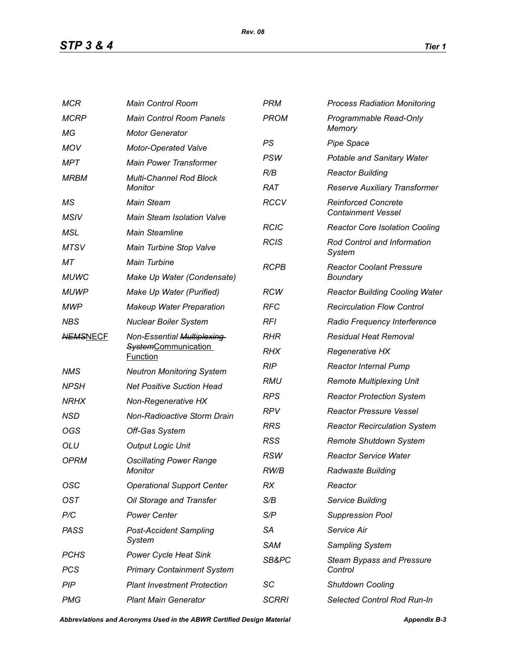*STP 3 & 4 Tier 1*

| <b>MCR</b>      | <b>Main Control Room</b>                                                    | <b>PRM</b>                                                  | <b>Process Radiation Monitoring</b>   |  |
|-----------------|-----------------------------------------------------------------------------|-------------------------------------------------------------|---------------------------------------|--|
| <b>MCRP</b>     | <b>Main Control Room Panels</b>                                             | <b>PROM</b>                                                 | Programmable Read-Only                |  |
| МG              | <b>Motor Generator</b>                                                      |                                                             | Memory                                |  |
| <b>MOV</b>      | Motor-Operated Valve                                                        | PS                                                          | <b>Pipe Space</b>                     |  |
| MPT             | <b>Main Power Transformer</b>                                               | PSW                                                         | <b>Potable and Sanitary Water</b>     |  |
| <b>MRBM</b>     | <b>Multi-Channel Rod Block</b><br><b>Monitor</b>                            | R/B                                                         | <b>Reactor Building</b>               |  |
|                 |                                                                             | <b>RAT</b>                                                  | Reserve Auxiliary Transformer         |  |
| МS              | <b>Main Steam</b>                                                           | <b>RCCV</b>                                                 | <b>Reinforced Concrete</b>            |  |
| <b>MSIV</b>     | <b>Main Steam Isolation Valve</b>                                           | <b>Containment Vessel</b>                                   |                                       |  |
| MSL             | <b>Main Steamline</b>                                                       | <b>RCIC</b>                                                 | <b>Reactor Core Isolation Cooling</b> |  |
| <b>MTSV</b>     | Main Turbine Stop Valve                                                     | <b>RCIS</b><br><b>Rod Control and Information</b><br>System |                                       |  |
| МT              | <b>Main Turbine</b>                                                         | <b>RCPB</b>                                                 | <b>Reactor Coolant Pressure</b>       |  |
| <b>MUWC</b>     | Make Up Water (Condensate)                                                  |                                                             | <b>Boundary</b>                       |  |
| <b>MUWP</b>     | Make Up Water (Purified)                                                    | <b>RCW</b>                                                  | <b>Reactor Building Cooling Water</b> |  |
| <b>MWP</b>      | <b>Makeup Water Preparation</b>                                             | <b>RFC</b>                                                  | <b>Recirculation Flow Control</b>     |  |
| <b>NBS</b>      | <b>Nuclear Boiler System</b>                                                | RFI                                                         | Radio Frequency Interference          |  |
| <b>NEMSNECF</b> | Non-Essential Multiplexing<br><b>SystemCommunication</b><br><b>Function</b> | <b>RHR</b>                                                  | <b>Residual Heat Removal</b>          |  |
|                 |                                                                             | <b>RHX</b>                                                  | <b>Regenerative HX</b>                |  |
| <b>NMS</b>      | <b>Neutron Monitoring System</b>                                            | <b>RIP</b>                                                  | <b>Reactor Internal Pump</b>          |  |
| <b>NPSH</b>     | <b>Net Positive Suction Head</b>                                            | RMU                                                         | <b>Remote Multiplexing Unit</b>       |  |
| <b>NRHX</b>     | Non-Regenerative HX                                                         | <b>RPS</b>                                                  | <b>Reactor Protection System</b>      |  |
| <b>NSD</b>      | Non-Radioactive Storm Drain                                                 | <b>RPV</b>                                                  | <b>Reactor Pressure Vessel</b>        |  |
| OGS             | Off-Gas System                                                              | <b>RRS</b>                                                  | <b>Reactor Recirculation System</b>   |  |
| <b>OLU</b>      | <b>Output Logic Unit</b>                                                    | <b>RSS</b>                                                  | Remote Shutdown System                |  |
| <b>OPRM</b>     | <b>Oscillating Power Range</b><br>Monitor                                   | <b>RSW</b>                                                  | <b>Reactor Service Water</b>          |  |
|                 |                                                                             | RW/B                                                        | Radwaste Building                     |  |
| OSC             | <b>Operational Support Center</b>                                           | RX                                                          | Reactor                               |  |
| <b>OST</b>      | Oil Storage and Transfer                                                    | S/B                                                         | Service Building                      |  |
| P/C             | <b>Power Center</b>                                                         | S/P                                                         | <b>Suppression Pool</b>               |  |
| <b>PASS</b>     | <b>Post-Accident Sampling</b>                                               | <b>SA</b>                                                   | Service Air                           |  |
|                 | System                                                                      | <b>SAM</b>                                                  | <b>Sampling System</b>                |  |
| <b>PCHS</b>     | <b>Power Cycle Heat Sink</b>                                                | SB&PC                                                       | <b>Steam Bypass and Pressure</b>      |  |
| <b>PCS</b>      | <b>Primary Containment System</b>                                           |                                                             | Control                               |  |
| PIP             | <b>Plant Investment Protection</b>                                          | SC                                                          | <b>Shutdown Cooling</b>               |  |
| <b>PMG</b>      | <b>Plant Main Generator</b>                                                 | <b>SCRRI</b>                                                | <b>Selected Control Rod Run-In</b>    |  |